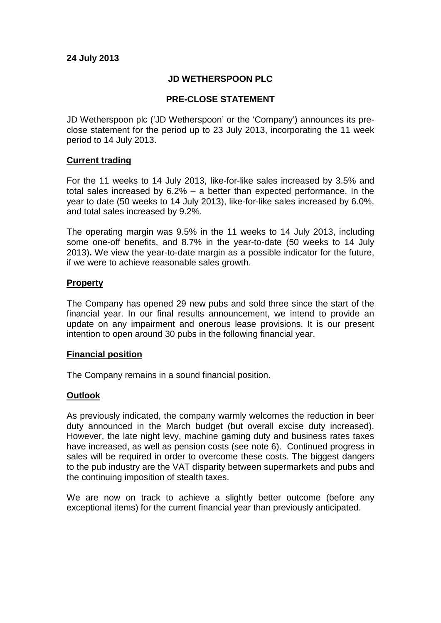# **JD WETHERSPOON PLC**

# **PRE-CLOSE STATEMENT**

JD Wetherspoon plc ('JD Wetherspoon' or the 'Company') announces its preclose statement for the period up to 23 July 2013, incorporating the 11 week period to 14 July 2013.

### **Current trading**

For the 11 weeks to 14 July 2013, like-for-like sales increased by 3.5% and total sales increased by 6.2% – a better than expected performance. In the year to date (50 weeks to 14 July 2013), like-for-like sales increased by 6.0%, and total sales increased by 9.2%.

The operating margin was 9.5% in the 11 weeks to 14 July 2013, including some one-off benefits, and 8.7% in the year-to-date (50 weeks to 14 July 2013)**.** We view the year-to-date margin as a possible indicator for the future, if we were to achieve reasonable sales growth.

### **Property**

The Company has opened 29 new pubs and sold three since the start of the financial year. In our final results announcement, we intend to provide an update on any impairment and onerous lease provisions. It is our present intention to open around 30 pubs in the following financial year.

#### **Financial position**

The Company remains in a sound financial position.

### **Outlook**

As previously indicated, the company warmly welcomes the reduction in beer duty announced in the March budget (but overall excise duty increased). However, the late night levy, machine gaming duty and business rates taxes have increased, as well as pension costs (see note 6). Continued progress in sales will be required in order to overcome these costs. The biggest dangers to the pub industry are the VAT disparity between supermarkets and pubs and the continuing imposition of stealth taxes.

We are now on track to achieve a slightly better outcome (before any exceptional items) for the current financial year than previously anticipated.